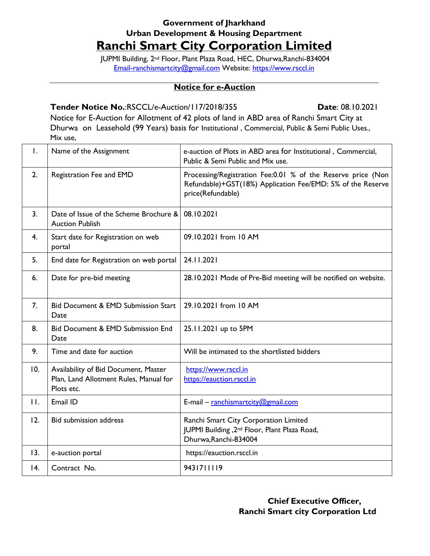## **Government of Jharkhand Urban Development & Housing Department**

## **Ranchi Smart City Corporation Limited**

JUPMI Building, 2nd Floor, Plant Plaza Road, HEC, Dhurwa,Ranchi-834004 [Email-ranchismartcity@gmail.com](mailto:Email-ranchismartcity@gmail.com) Website: [https://www.rsccl.in](https://www.rsccl.in/)

## **Notice for e-Auction**

## **Tender Notice No.**:RSCCL/e-Auction/117/2018/355 **Date**: 08.10.2021

Notice for E-Auction for Allotment of 42 plots of land in ABD area of Ranchi Smart City at Dhurwa on Leasehold (99 Years) basis for Institutional , Commercial, Public & Semi Public Uses., Mix use,

| $\mathsf{L}$   | Name of the Assignment                                                                       | e-auction of Plots in ABD area for Institutional, Commercial,<br>Public & Semi Public and Mix use.                                               |  |  |
|----------------|----------------------------------------------------------------------------------------------|--------------------------------------------------------------------------------------------------------------------------------------------------|--|--|
| 2.             | Registration Fee and EMD                                                                     | Processing/Registration Fee:0.01 % of the Reserve price (Non<br>Refundable)+GST(18%) Application Fee/EMD: 5% of the Reserve<br>price(Refundable) |  |  |
| 3.             | Date of Issue of the Scheme Brochure &<br><b>Auction Publish</b>                             | 08.10.2021                                                                                                                                       |  |  |
| 4.             | Start date for Registration on web<br>portal                                                 | 09.10.2021 from 10 AM                                                                                                                            |  |  |
| 5.             | End date for Registration on web portal                                                      | 24.11.2021                                                                                                                                       |  |  |
| 6.             | Date for pre-bid meeting                                                                     | 28.10.2021 Mode of Pre-Bid meeting will be notified on website.                                                                                  |  |  |
| 7.             | <b>Bid Document &amp; EMD Submission Start</b><br>Date                                       | 29.10.2021 from 10 AM                                                                                                                            |  |  |
| 8.             | Bid Document & EMD Submission End<br>Date                                                    | 25.11.2021 up to 5PM                                                                                                                             |  |  |
| 9.             | Time and date for auction                                                                    | Will be intimated to the shortlisted bidders                                                                                                     |  |  |
| 10.            | Availability of Bid Document, Master<br>Plan, Land Allotment Rules, Manual for<br>Plots etc. | https://www.rsccl.in<br>https://eauction.rsccl.in                                                                                                |  |  |
| $\mathbf{H}$ . | Email ID                                                                                     | E-mail - ranchismartcity@gmail.com                                                                                                               |  |  |
| 12.            | <b>Bid submission address</b>                                                                | Ranchi Smart City Corporation Limited<br>JUPMI Building, 2 <sup>nd</sup> Floor, Plant Plaza Road,<br>Dhurwa, Ranchi-834004                       |  |  |
| 13.            | e-auction portal                                                                             | https://eauction.rsccl.in                                                                                                                        |  |  |
| 4.             | Contract No.                                                                                 | 9431711119                                                                                                                                       |  |  |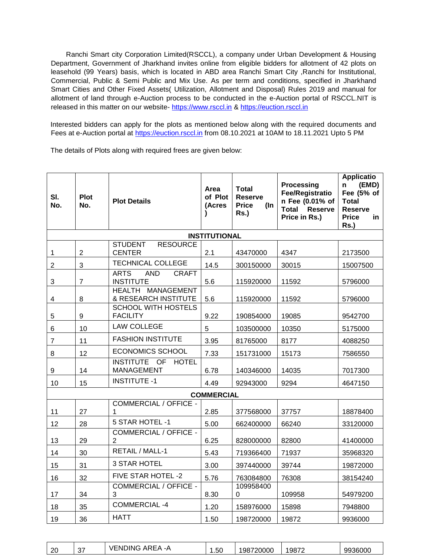Ranchi Smart city Corporation Limited(RSCCL), a company under Urban Development & Housing Department, Government of Jharkhand invites online from eligible bidders for allotment of 42 plots on leasehold (99 Years) basis, which is located in ABD area Ranchi Smart City ,Ranchi for Institutional, Commercial, Public & Semi Public and Mix Use. As per term and conditions, specified in Jharkhand Smart Cities and Other Fixed Assets( Utilization, Allotment and Disposal) Rules 2019 and manual for allotment of land through e-Auction process to be conducted in the e-Auction portal of RSCCL.NIT is released in this matter on our website- [https://www.rsccl.in](https://www.rsccl.in/) & [https://euction.rsccl.in](https://euction.rsccl.in/)

Interested bidders can apply for the plots as mentioned below along with the required documents and Fees at e-Auction portal at [https://euction.rsccl.in](https://euction.rsccl.in/) from 08.10.2021 at 10AM to 18.11.2021 Upto 5 PM

The details of Plots along with required frees are given below:

| SI.<br>No.        | <b>Plot</b><br>No. | <b>Plot Details</b>                                           | Area<br>of Plot<br>(Acres | <b>Total</b><br><b>Reserve</b><br><b>Price</b><br>(In<br>$Rs.$ ) | <b>Processing</b><br><b>Fee/Registratio</b><br>n Fee (0.01% of<br><b>Total Reserve</b><br>Price in Rs.) | <b>Applicatio</b><br>(EMD)<br>n<br>Fee (5% of<br><b>Total</b><br><b>Reserve</b><br><b>Price</b><br>in.<br>$Rs.$ ) |  |
|-------------------|--------------------|---------------------------------------------------------------|---------------------------|------------------------------------------------------------------|---------------------------------------------------------------------------------------------------------|-------------------------------------------------------------------------------------------------------------------|--|
|                   |                    |                                                               | <b>INSTITUTIONAL</b>      |                                                                  |                                                                                                         |                                                                                                                   |  |
| 1                 | $\overline{2}$     | <b>STUDENT</b><br><b>RESOURCE</b><br><b>CENTER</b>            | 2.1                       | 43470000                                                         | 4347                                                                                                    | 2173500                                                                                                           |  |
| $\overline{2}$    | 3                  | <b>TECHNICAL COLLEGE</b>                                      | 14.5                      | 300150000                                                        | 30015                                                                                                   | 15007500                                                                                                          |  |
| $\sqrt{3}$        | $\overline{7}$     | <b>ARTS</b><br><b>AND</b><br><b>CRAFT</b><br><b>INSTITUTE</b> | 5.6                       | 115920000                                                        | 11592                                                                                                   | 5796000                                                                                                           |  |
| 4                 | 8                  | HEALTH MANAGEMENT<br><b>&amp; RESEARCH INSTITUTE</b>          | 5.6                       | 115920000                                                        | 11592                                                                                                   | 5796000                                                                                                           |  |
| 5                 | 9                  | <b>SCHOOL WITH HOSTELS</b><br><b>FACILITY</b>                 | 9.22                      | 190854000                                                        | 19085                                                                                                   | 9542700                                                                                                           |  |
| 6                 | 10                 | <b>LAW COLLEGE</b>                                            | 5                         | 103500000                                                        | 10350                                                                                                   | 5175000                                                                                                           |  |
| $\overline{7}$    | 11                 | <b>FASHION INSTITUTE</b>                                      | 3.95                      | 81765000                                                         | 8177                                                                                                    | 4088250                                                                                                           |  |
| 8                 | 12                 | <b>ECONOMICS SCHOOL</b>                                       | 7.33                      | 151731000                                                        | 15173                                                                                                   | 7586550                                                                                                           |  |
| $\boldsymbol{9}$  | 14                 | INSTITUTE OF<br><b>HOTEL</b><br><b>MANAGEMENT</b>             | 6.78                      | 140346000                                                        | 14035                                                                                                   | 7017300                                                                                                           |  |
| 10                | 15                 | <b>INSTITUTE -1</b>                                           | 4.49                      | 92943000                                                         | 9294                                                                                                    | 4647150                                                                                                           |  |
| <b>COMMERCIAL</b> |                    |                                                               |                           |                                                                  |                                                                                                         |                                                                                                                   |  |
| 11                | 27                 | COMMERCIAL / OFFICE -<br>1                                    | 2.85                      | 377568000                                                        | 37757                                                                                                   | 18878400                                                                                                          |  |
| 12                | 28                 | 5 STAR HOTEL -1                                               | 5.00                      | 662400000                                                        | 66240                                                                                                   | 33120000                                                                                                          |  |
| 13                | 29                 | COMMERCIAL / OFFICE -<br>2                                    | 6.25                      | 828000000                                                        | 82800                                                                                                   | 41400000                                                                                                          |  |
| 14                | 30                 | RETAIL / MALL-1                                               | 5.43                      | 719366400                                                        | 71937                                                                                                   | 35968320                                                                                                          |  |
| 15                | 31                 | 3 STAR HOTEL                                                  | 3.00                      | 397440000                                                        | 39744                                                                                                   | 19872000                                                                                                          |  |
| 16                | 32                 | FIVE STAR HOTEL -2                                            | 5.76                      | 763084800                                                        | 76308                                                                                                   | 38154240                                                                                                          |  |
| 17                | 34                 | <b>COMMERCIAL / OFFICE -</b><br>3                             | 8.30                      | 109958400<br>$\Omega$                                            | 109958                                                                                                  | 54979200                                                                                                          |  |
| 18                | 35                 | <b>COMMERCIAL -4</b>                                          | 1.20                      | 158976000                                                        | 15898                                                                                                   | 7948800                                                                                                           |  |
| 19                | 36                 | <b>HATT</b>                                                   | 1.50                      | 198720000                                                        | 19872                                                                                                   | 9936000                                                                                                           |  |

| $\sim$<br>∴ וחי∵<br>$\overline{\phantom{a}}$<br>$\overline{\phantom{0}}$<br>АR<br>N<br>$ \sim$<br>$\sim$<br>റ്റ<br>- - -<br>. .<br>$\mathbf{r}$<br>50<br>∠∪<br>ິ | 9872ء<br>720000<br><b>QQ3600^</b><br>'98<br>36000<br>л |
|------------------------------------------------------------------------------------------------------------------------------------------------------------------|--------------------------------------------------------|
|------------------------------------------------------------------------------------------------------------------------------------------------------------------|--------------------------------------------------------|